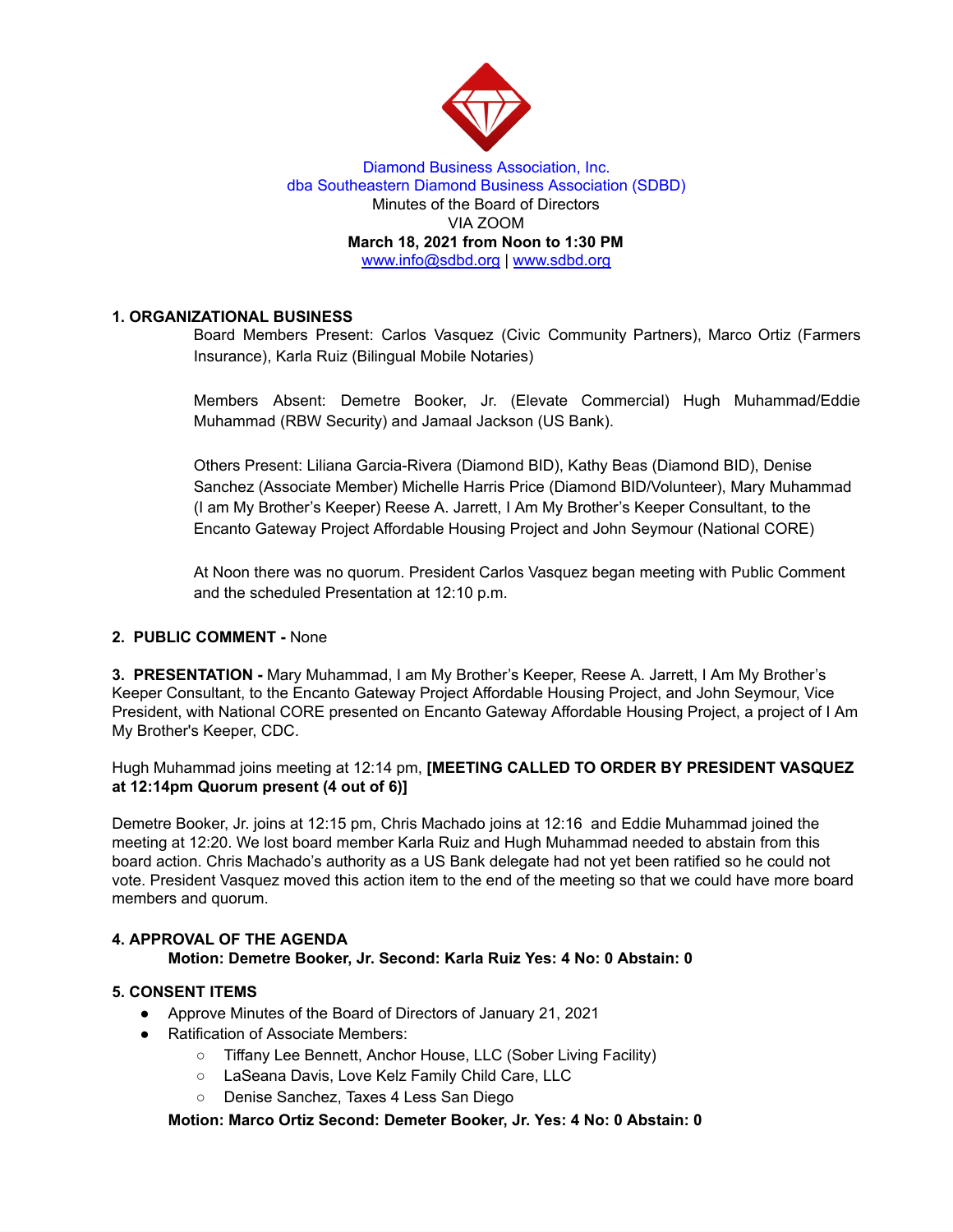

#### Diamond Business Association, Inc. dba Southeastern Diamond Business Association (SDBD) Minutes of the Board of Directors VIA ZOOM **March 18, 2021 from Noon to 1:30 PM** www.info@sdbd.org | [www.sdbd.org](http://www.sdbd.org/)

## **1. ORGANIZATIONAL BUSINESS**

Board Members Present: Carlos Vasquez (Civic Community Partners), Marco Ortiz (Farmers Insurance), Karla Ruiz (Bilingual Mobile Notaries)

Members Absent: Demetre Booker, Jr. (Elevate Commercial) Hugh Muhammad/Eddie Muhammad (RBW Security) and Jamaal Jackson (US Bank).

Others Present: Liliana Garcia-Rivera (Diamond BID), Kathy Beas (Diamond BID), Denise Sanchez (Associate Member) Michelle Harris Price (Diamond BID/Volunteer), Mary Muhammad (I am My Brother's Keeper) Reese A. Jarrett, I Am My Brother's Keeper Consultant, to the Encanto Gateway Project Affordable Housing Project and John Seymour (National CORE)

At Noon there was no quorum. President Carlos Vasquez began meeting with Public Comment and the scheduled Presentation at 12:10 p.m.

#### **2. PUBLIC COMMENT -** None

**3. PRESENTATION -** Mary Muhammad, I am My Brother's Keeper, Reese A. Jarrett, I Am My Brother's Keeper Consultant, to the Encanto Gateway Project Affordable Housing Project, and John Seymour, Vice President, with National CORE presented on Encanto Gateway Affordable Housing Project, a project of I Am My Brother's Keeper, CDC.

Hugh Muhammad joins meeting at 12:14 pm, **[MEETING CALLED TO ORDER BY PRESIDENT VASQUEZ at 12:14pm Quorum present (4 out of 6)]**

Demetre Booker, Jr. joins at 12:15 pm, Chris Machado joins at 12:16 and Eddie Muhammad joined the meeting at 12:20. We lost board member Karla Ruiz and Hugh Muhammad needed to abstain from this board action. Chris Machado's authority as a US Bank delegate had not yet been ratified so he could not vote. President Vasquez moved this action item to the end of the meeting so that we could have more board members and quorum.

#### **4. APPROVAL OF THE AGENDA**

## **Motion: Demetre Booker, Jr. Second: Karla Ruiz Yes: 4 No: 0 Abstain: 0**

### **5. CONSENT ITEMS**

- Approve Minutes of the Board of Directors of January 21, 2021
- Ratification of Associate Members:
	- Tiffany Lee Bennett, Anchor House, LLC (Sober Living Facility)
	- LaSeana Davis, Love Kelz Family Child Care, LLC
	- Denise Sanchez, Taxes 4 Less San Diego

#### **Motion: Marco Ortiz Second: Demeter Booker, Jr. Yes: 4 No: 0 Abstain: 0**